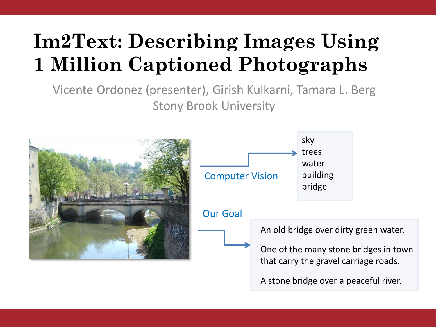# **Im2Text: Describing Images Using 1 Million Captioned Photographs**

Vicente Ordonez (presenter), Girish Kulkarni, Tamara L. Berg Stony Brook University

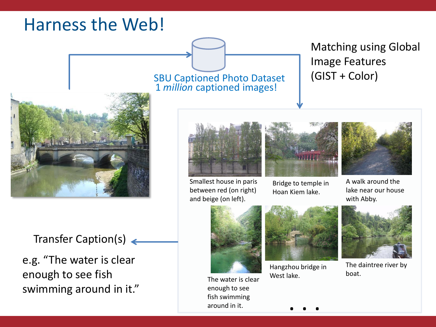### Harness the Web!



Transfer Caption(s)

e.g. "The water is clear enough to see fish swimming around in it." SBU Captioned Photo Dataset 1 *million* captioned images!

#### Matching using Global Image Features (GIST + Color)



Smallest house in paris between red (on right) and beige (on left).



Bridge to temple in Hoan Kiem lake.



A walk around the lake near our house with Abby.



The water is clear enough to see fish swimming around in it.



Hangzhou bridge in West lake.



The daintree river by boat.

. . .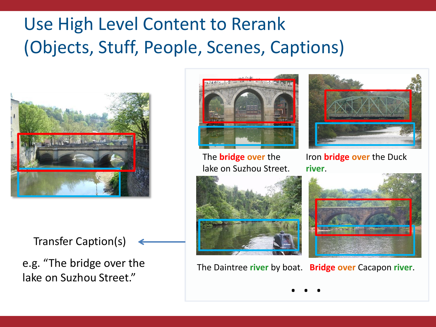## Use High Level Content to Rerank (Objects, Stuff, People, Scenes, Captions)



Transfer Caption(s)

e.g. "The bridge over the lake on Suzhou Street."



The **bridge over** the lake on Suzhou Street.



Iron **bridge over** the Duck **river**.



The Daintree **river** by boat. **Bridge over** Cacapon **river**.

. . .